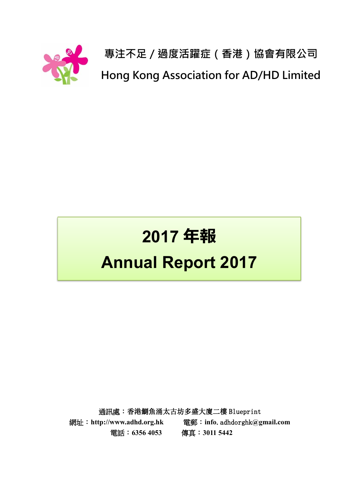

**專注不足/過度活躍症(香港)協會有限公司 Hong Kong Association for AD/HD Limited**

# **2017 年報 Annual Report 2017**

通訊處︰香港鰂魚涌太古坊多盛大廈二樓 Blueprint 網址︰**http://www.adhd.org.hk** 電郵︰**info**.adhdorghk**@gmail.com** 電話︰**6356 4053** 傳真︰**3011 5442**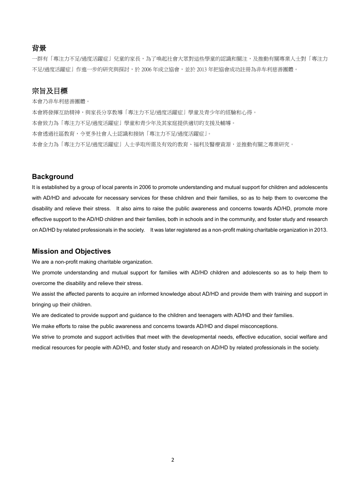#### 背景

一群有「專注力不足/過度活躍症」兒童的家長,為了喚起社會大眾對這些學童的認識和關注,及推動有關專業人士對「專注力 不足/過度活躍症」作進一步的研究與探討,於 2006 年成立協會,並於 2013 年把協會成功註冊為非牟利慈善團體。

#### 宗旨及目標

本會乃非牟利慈善團體。

本會將發揮互助精神,與家長分享教導「專注力不足/過度活躍症」學童及青少年的經驗和心得。

本會致力為「專注力不足/過度活躍症」學童和青少年及其家庭提供適切的支援及輔導。

本會透過社區教育,令更多社會人士認識和接納「專注力不足/過度活躍症」。

本會全力為「專注力不足/過度活躍症」人士爭取所需及有效的教育、福利及醫療資源,並推動有關之專業研究。

#### **Background**

It is established by a group of local parents in 2006 to promote understanding and mutual support for children and adolescents with AD/HD and advocate for necessary services for these children and their families, so as to help them to overcome the disability and relieve their stress. It also aims to raise the public awareness and concerns towards AD/HD, promote more effective support to the AD/HD children and their families, both in schools and in the community, and foster study and research on AD/HD by related professionals in the society. It was later registered as a non-profit making charitable organization in 2013.

#### **Mission and Objectives**

We are a non-profit making charitable organization.

We promote understanding and mutual support for families with AD/HD children and adolescents so as to help them to overcome the disability and relieve their stress.

We assist the affected parents to acquire an informed knowledge about AD/HD and provide them with training and support in bringing up their children.

We are dedicated to provide support and guidance to the children and teenagers with AD/HD and their families.

We make efforts to raise the public awareness and concerns towards AD/HD and dispel misconceptions.

We strive to promote and support activities that meet with the developmental needs, effective education, social welfare and medical resources for people with AD/HD, and foster study and research on AD/HD by related professionals in the society.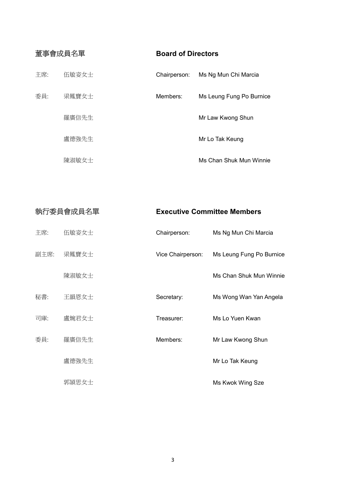| 董事會成員名單 |       | <b>Board of Directors</b> |                          |
|---------|-------|---------------------------|--------------------------|
| 主席:     | 伍敏姿女士 | Chairperson:              | Ms Ng Mun Chi Marcia     |
| 委員:     | 梁鳳寶女士 | Members:                  | Ms Leung Fung Po Burnice |
|         | 羅廣信先生 |                           | Mr Law Kwong Shun        |
|         | 盧德強先生 |                           | Mr Lo Tak Keung          |
|         | 陳淑敏女十 |                           | Ms Chan Shuk Mun Winnie  |

| 執行委員會成員名單 |       | <b>Executive Committee Members</b> |                          |  |
|-----------|-------|------------------------------------|--------------------------|--|
| 主席:       | 伍敏姿女士 | Chairperson:                       | Ms Ng Mun Chi Marcia     |  |
| 副主席:      | 梁鳳寶女士 | Vice Chairperson:                  | Ms Leung Fung Po Burnice |  |
|           | 陳淑敏女士 |                                    | Ms Chan Shuk Mun Winnie  |  |
| 秘書:       | 王韻恩女士 | Secretary:                         | Ms Wong Wan Yan Angela   |  |
| 司庫:       | 盧婉君女士 | Treasurer:                         | Ms Lo Yuen Kwan          |  |
| 委員:       | 羅廣信先生 | Members:                           | Mr Law Kwong Shun        |  |
|           | 盧德強先生 |                                    | Mr Lo Tak Keung          |  |
|           | 郭頴思女士 |                                    | Ms Kwok Wing Sze         |  |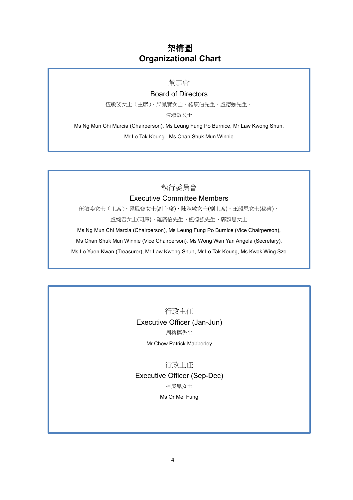## 架構圖 **Organizational Chart**

#### 董事會

#### Board of Directors

伍敏姿女士(主席)、梁鳳寶女士、羅廣信先生、盧德強先生、

陳淑敏女士

Ms Ng Mun Chi Marcia (Chairperson), Ms Leung Fung Po Burnice, Mr Law Kwong Shun,

Mr Lo Tak Keung , Ms Chan Shuk Mun Winnie

#### 執行委員會

#### Executive Committee Members

伍敏姿女士(主席)、梁鳳寶女士(副主席)、陳淑敏女士(副主席)、王韻恩女士(秘書)、

盧婉君女士(司庫)、羅廣信先生、盧德強先生、郭頴思女士

Ms Ng Mun Chi Marcia (Chairperson), Ms Leung Fung Po Burnice (Vice Chairperson),

Ms Chan Shuk Mun Winnie (Vice Chairperson), Ms Wong Wan Yan Angela (Secretary),

Ms Lo Yuen Kwan (Treasurer), Mr Law Kwong Shun, Mr Lo Tak Keung, Ms Kwok Wing Sze

行政主任 Executive Officer (Jan-Jun) 周穆標先生

Mr Chow Patrick Mabberley

行政主任

Executive Officer (Sep-Dec)

柯美鳳女士

Ms Or Mei Fung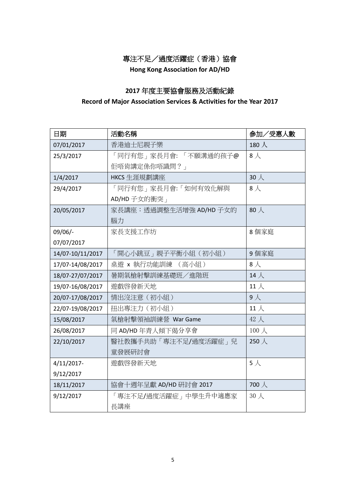**Hong Kong Association for AD/HD**

## **2017** 年度主要協會服務及活動紀錄

#### **Record of Major Association Services & Activities for the Year 2017**

| 日期               | 活動名稱                    | 参加/受惠人數       |
|------------------|-------------------------|---------------|
| 07/01/2017       | 香港迪士尼親子樂                | 180 $\lambda$ |
| 25/3/2017        | 「同行有您」家長月會: 「不願溝通的孩子@   | $8\lambda$    |
|                  | 佢唔肯講定係你唔識問?」            |               |
| 1/4/2017         | HKCS 生涯規劃講座             | $30 \lambda$  |
| 29/4/2017        | 「同行有您 」家長月會:「如何有效化解與    | $8\lambda$    |
|                  | AD/HD 子女的衝突             |               |
| 20/05/2017       | 家長講座:透過調整生活增強 AD/HD 子女的 | 80人           |
|                  | 腦力                      |               |
| $09/06/-$        | 家長支援工作坊                 | 8個家庭          |
| 07/07/2017       |                         |               |
| 14/07-10/11/2017 | 「開心小跳豆」親子平衡小組(初小組)      | 9個家庭          |
| 17/07-14/08/2017 | 桌遊 x 執行功能訓練 (高小組)       | $8\lambda$    |
| 18/07-27/07/2017 | 暑期氣槍射擊訓練基礎班/進階班         | 14 $\lambda$  |
| 19/07-16/08/2017 | 遊戲啓發新天地                 | 11 $\lambda$  |
| 20/07-17/08/2017 | 情出沒注意 (初小組)             | $9\lambda$    |
| 22/07-19/08/2017 | 扭出專注力(初小組)              | 11 $\lambda$  |
| 15/08/2017       | 氣槍射擊領袖訓練營 War Game      | 42 人          |
| 26/08/2017       | 同 AD/HD 年青人傾下偈分享會       | $100 \lambda$ |
| 22/10/2017       | 醫社教攜手共助「專注不足/過度活躍症」兒    | 250人          |
|                  | 童發展研討會                  |               |
| 4/11/2017-       | 遊戲啓發新天地                 | $5\lambda$    |
| 9/12/2017        |                         |               |
| 18/11/2017       | 協會十週年呈獻 AD/HD 研討會 2017  | 700人          |
| 9/12/2017        | 「專注不足/過度活躍症」中學生升中適應家    | 30人           |
|                  | 長講座                     |               |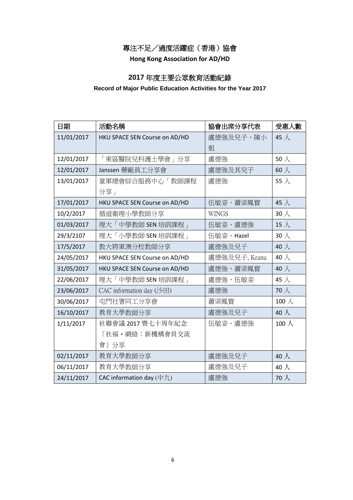**Hong Kong Association for AD/HD**

## **2017** 年度主要公眾敎育活動紀錄

#### **Record of Major Public Education Activities for the Year 2017**

| 日期         | 活動名稱                          | 協會出席分享代表      | 受惠人數          |
|------------|-------------------------------|---------------|---------------|
| 11/01/2017 | HKU SPACE SEN Course on AD/HD | 盧德強及兒子、陳小     | 45 人          |
|            |                               | 姐             |               |
| 12/01/2017 | 「東區醫院兒科護士學會」分享                | 盧德強           | $50 \lambda$  |
| 12/01/2017 | Janssen 藥廠員工分享會               | 盧德強及其兒子       | 60 $\lambda$  |
| 13/01/2017 | 童軍總會綜合服務中心「教師課程               | 盧德強           | 55 人          |
|            | 分享」                           |               |               |
| 17/01/2017 | HKU SPACE SEN Course on AD/HD | 伍敏姿、蕭梁鳳寳      | 45 人          |
| 10/2/2017  | 循道衛理小學教師分享                    | <b>WINGS</b>  | $30 \lambda$  |
| 01/03/2017 | 理大「中學教師 SEN 培訓課程」             | 伍敏姿、盧德強       | 15 $\lambda$  |
| 29/3/2107  | 理大「小學教師 SEN 培訓課程」             | 伍敏姿、Hazel     | $30 \lambda$  |
| 17/5/2017  | 教大將軍澳分校教師分享                   | 盧德強及兒子        | 40 人          |
| 24/05/2017 | HKU SPACE SEN Course on AD/HD | 盧德強及兒子, Keanu | 40 $\lambda$  |
| 31/05/2017 | HKU SPACE SEN Course on AD/HD | 盧德強、蕭梁鳳寳      | 40人           |
| 22/06/2017 | 理大「中學教師 SEN 培訓課程」             | 盧德強、伍敏姿       | 45 $\lambda$  |
| 23/06/2017 | CAC information day (沙田)      | 盧德強           | $70 \lambda$  |
| 30/06/2017 | 屯門社署同工分享會                     | 蕭梁鳳寳          | 100 $\lambda$ |
| 16/10/2017 | 教育大學教師分享                      | 盧德強及兒子        | 40人           |
| 1/11/2017  | 社聯會議 2017 暨七十周年紀念             | 伍敏姿、盧德強       | 100 $\lambda$ |
|            | 「社福·網絡:新機構會員交流                |               |               |
|            | 會」分享                          |               |               |
| 02/11/2017 | 教育大學教師分享                      | 盧德強及兒子        | 40 $\lambda$  |
| 06/11/2017 | 教育大學教師分享                      | 盧德強及兒子        | 40 $\lambda$  |
| 24/11/2017 | CAC information day $($ 中九)   | 盧德強           | $70\lambda$   |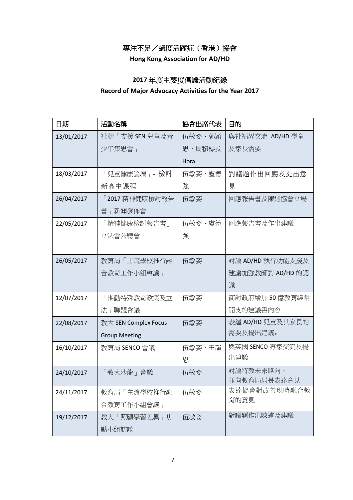**Hong Kong Association for AD/HD**

## **2017** 年度主要度倡議活動紀錄

#### **Record of Major Advocacy Activities for the Year 2017**

| 日期         | 活動名稱                 | 協會出席代表 | 目的                        |
|------------|----------------------|--------|---------------------------|
| 13/01/2017 | 社聯「支援 SEN 兒童及青       | 伍敏姿、郭穎 | 與社福界交流 AD/HD 學童           |
|            | 少年集思會」               | 思、周穆標及 | 及家長需要                     |
|            |                      | Hora   |                           |
| 18/03/2017 | 「兒童健康論壇」 - 檢討        | 伍敏姿、盧德 | 對議題作出回應及提出意               |
|            | 新高中課程                | 強      | 見                         |
| 26/04/2017 | 「2017 精神健康檢討報告       | 伍敏姿    | 回應報告書及陳述協會立場              |
|            | 書 所聞發佈會              |        |                           |
| 22/05/2017 | 「精神健康檢討報告書」          | 伍敏姿、盧德 | 回應報告書及作出建議                |
|            | 立法會公聽會               | 強      |                           |
|            |                      |        |                           |
| 26/05/2017 | 教育局「主流學校推行融          | 伍敏姿    | 討論 AD/HD 執行功能支援及          |
|            | 合教育工作小組會議」           |        | 建議加強教師對 AD/HD 的認          |
|            |                      |        | 識                         |
| 12/07/2017 | 「推動特殊教育政策及立          | 伍敏姿    | 商討政府增加 50 億教育經常           |
|            | 法」聯盟會議               |        | 開支的建議書內容                  |
| 22/08/2017 | 教大 SEN Complex Focus | 伍敏姿    | 表達 AD/HD 兒童及其家長的          |
|            | <b>Group Meeting</b> |        | 需要及提出建議。                  |
| 16/10/2017 | 教育局 SENCO 會議         | 伍敏姿、王韻 | 與英國 SENCO 專家交流及提          |
|            |                      | 恩      | 出建議                       |
| 24/10/2017 | 「教大沙龍」會議             | 伍敏姿    | 討論特教未來路向,<br>並向教育局局長表達意見。 |
| 24/11/2017 | 教育局「主流學校推行融          | 伍敏姿    | 表達協會對改善現時融合教              |
|            | 合教育工作小組會議」           |        | 育的意見                      |
| 19/12/2017 | 教大「照顧學習差異」焦          | 伍敏姿    | 對議題作出陳述及建議                |
|            | 點小組訪談                |        |                           |
|            |                      |        |                           |